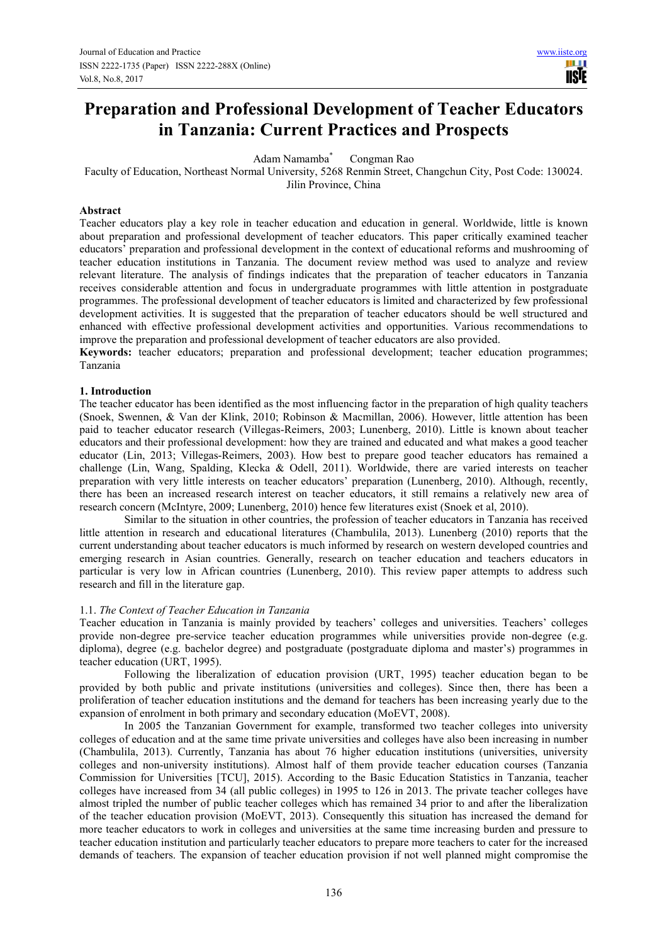# **Preparation and Professional Development of Teacher Educators in Tanzania: Current Practices and Prospects**

Adam Namamba\* Congman Rao

Faculty of Education, Northeast Normal University, 5268 Renmin Street, Changchun City, Post Code: 130024. Jilin Province, China

## **Abstract**

Teacher educators play a key role in teacher education and education in general. Worldwide, little is known about preparation and professional development of teacher educators. This paper critically examined teacher educators' preparation and professional development in the context of educational reforms and mushrooming of teacher education institutions in Tanzania. The document review method was used to analyze and review relevant literature. The analysis of findings indicates that the preparation of teacher educators in Tanzania receives considerable attention and focus in undergraduate programmes with little attention in postgraduate programmes. The professional development of teacher educators is limited and characterized by few professional development activities. It is suggested that the preparation of teacher educators should be well structured and enhanced with effective professional development activities and opportunities. Various recommendations to improve the preparation and professional development of teacher educators are also provided.

**Keywords:** teacher educators; preparation and professional development; teacher education programmes; Tanzania

## **1. Introduction**

The teacher educator has been identified as the most influencing factor in the preparation of high quality teachers (Snoek, Swennen, & Van der Klink, 2010; Robinson & Macmillan, 2006). However, little attention has been paid to teacher educator research (Villegas-Reimers, 2003; Lunenberg, 2010). Little is known about teacher educators and their professional development: how they are trained and educated and what makes a good teacher educator (Lin, 2013; Villegas-Reimers, 2003). How best to prepare good teacher educators has remained a challenge (Lin, Wang, Spalding, Klecka & Odell, 2011). Worldwide, there are varied interests on teacher preparation with very little interests on teacher educators' preparation (Lunenberg, 2010). Although, recently, there has been an increased research interest on teacher educators, it still remains a relatively new area of research concern (McIntyre, 2009; Lunenberg, 2010) hence few literatures exist (Snoek et al, 2010).

Similar to the situation in other countries, the profession of teacher educators in Tanzania has received little attention in research and educational literatures (Chambulila, 2013). Lunenberg (2010) reports that the current understanding about teacher educators is much informed by research on western developed countries and emerging research in Asian countries. Generally, research on teacher education and teachers educators in particular is very low in African countries (Lunenberg, 2010). This review paper attempts to address such research and fill in the literature gap.

#### 1.1. *The Context of Teacher Education in Tanzania*

Teacher education in Tanzania is mainly provided by teachers' colleges and universities. Teachers' colleges provide non-degree pre-service teacher education programmes while universities provide non-degree (e.g. diploma), degree (e.g. bachelor degree) and postgraduate (postgraduate diploma and master's) programmes in teacher education (URT, 1995).

Following the liberalization of education provision (URT, 1995) teacher education began to be provided by both public and private institutions (universities and colleges). Since then, there has been a proliferation of teacher education institutions and the demand for teachers has been increasing yearly due to the expansion of enrolment in both primary and secondary education (MoEVT, 2008).

In 2005 the Tanzanian Government for example, transformed two teacher colleges into university colleges of education and at the same time private universities and colleges have also been increasing in number (Chambulila, 2013). Currently, Tanzania has about 76 higher education institutions (universities, university colleges and non-university institutions). Almost half of them provide teacher education courses (Tanzania Commission for Universities [TCU], 2015). According to the Basic Education Statistics in Tanzania, teacher colleges have increased from 34 (all public colleges) in 1995 to 126 in 2013. The private teacher colleges have almost tripled the number of public teacher colleges which has remained 34 prior to and after the liberalization of the teacher education provision (MoEVT, 2013). Consequently this situation has increased the demand for more teacher educators to work in colleges and universities at the same time increasing burden and pressure to teacher education institution and particularly teacher educators to prepare more teachers to cater for the increased demands of teachers. The expansion of teacher education provision if not well planned might compromise the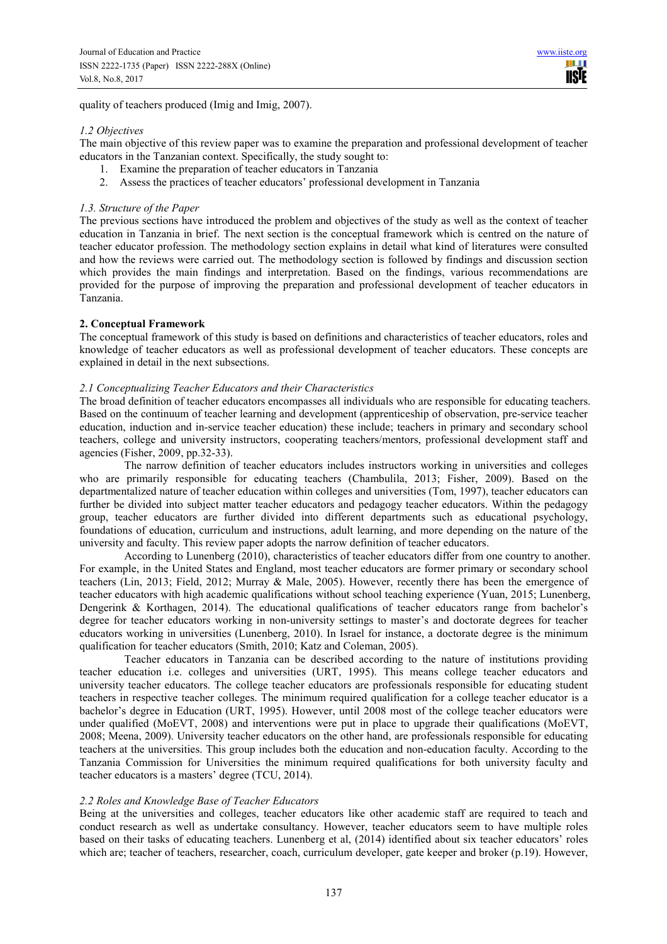quality of teachers produced (Imig and Imig, 2007).

#### *1.2 Objectives*

The main objective of this review paper was to examine the preparation and professional development of teacher educators in the Tanzanian context. Specifically, the study sought to:

- 1. Examine the preparation of teacher educators in Tanzania
- 2. Assess the practices of teacher educators' professional development in Tanzania

## *1.3. Structure of the Paper*

The previous sections have introduced the problem and objectives of the study as well as the context of teacher education in Tanzania in brief. The next section is the conceptual framework which is centred on the nature of teacher educator profession. The methodology section explains in detail what kind of literatures were consulted and how the reviews were carried out. The methodology section is followed by findings and discussion section which provides the main findings and interpretation. Based on the findings, various recommendations are provided for the purpose of improving the preparation and professional development of teacher educators in Tanzania.

## **2. Conceptual Framework**

The conceptual framework of this study is based on definitions and characteristics of teacher educators, roles and knowledge of teacher educators as well as professional development of teacher educators. These concepts are explained in detail in the next subsections.

## *2.1 Conceptualizing Teacher Educators and their Characteristics*

The broad definition of teacher educators encompasses all individuals who are responsible for educating teachers. Based on the continuum of teacher learning and development (apprenticeship of observation, pre-service teacher education, induction and in-service teacher education) these include; teachers in primary and secondary school teachers, college and university instructors, cooperating teachers/mentors, professional development staff and agencies (Fisher, 2009, pp.32-33).

The narrow definition of teacher educators includes instructors working in universities and colleges who are primarily responsible for educating teachers (Chambulila, 2013; Fisher, 2009). Based on the departmentalized nature of teacher education within colleges and universities (Tom, 1997), teacher educators can further be divided into subject matter teacher educators and pedagogy teacher educators. Within the pedagogy group, teacher educators are further divided into different departments such as educational psychology, foundations of education, curriculum and instructions, adult learning, and more depending on the nature of the university and faculty. This review paper adopts the narrow definition of teacher educators.

According to Lunenberg (2010), characteristics of teacher educators differ from one country to another. For example, in the United States and England, most teacher educators are former primary or secondary school teachers (Lin, 2013; Field, 2012; Murray & Male, 2005). However, recently there has been the emergence of teacher educators with high academic qualifications without school teaching experience (Yuan, 2015; Lunenberg, Dengerink & Korthagen, 2014). The educational qualifications of teacher educators range from bachelor's degree for teacher educators working in non-university settings to master's and doctorate degrees for teacher educators working in universities (Lunenberg, 2010). In Israel for instance, a doctorate degree is the minimum qualification for teacher educators (Smith, 2010; Katz and Coleman, 2005).

Teacher educators in Tanzania can be described according to the nature of institutions providing teacher education i.e. colleges and universities (URT, 1995). This means college teacher educators and university teacher educators. The college teacher educators are professionals responsible for educating student teachers in respective teacher colleges. The minimum required qualification for a college teacher educator is a bachelor's degree in Education (URT, 1995). However, until 2008 most of the college teacher educators were under qualified (MoEVT, 2008) and interventions were put in place to upgrade their qualifications (MoEVT, 2008; Meena, 2009). University teacher educators on the other hand, are professionals responsible for educating teachers at the universities. This group includes both the education and non-education faculty. According to the Tanzania Commission for Universities the minimum required qualifications for both university faculty and teacher educators is a masters' degree (TCU, 2014).

#### *2.2 Roles and Knowledge Base of Teacher Educators*

Being at the universities and colleges, teacher educators like other academic staff are required to teach and conduct research as well as undertake consultancy. However, teacher educators seem to have multiple roles based on their tasks of educating teachers. Lunenberg et al, (2014) identified about six teacher educators' roles which are; teacher of teachers, researcher, coach, curriculum developer, gate keeper and broker (p.19). However,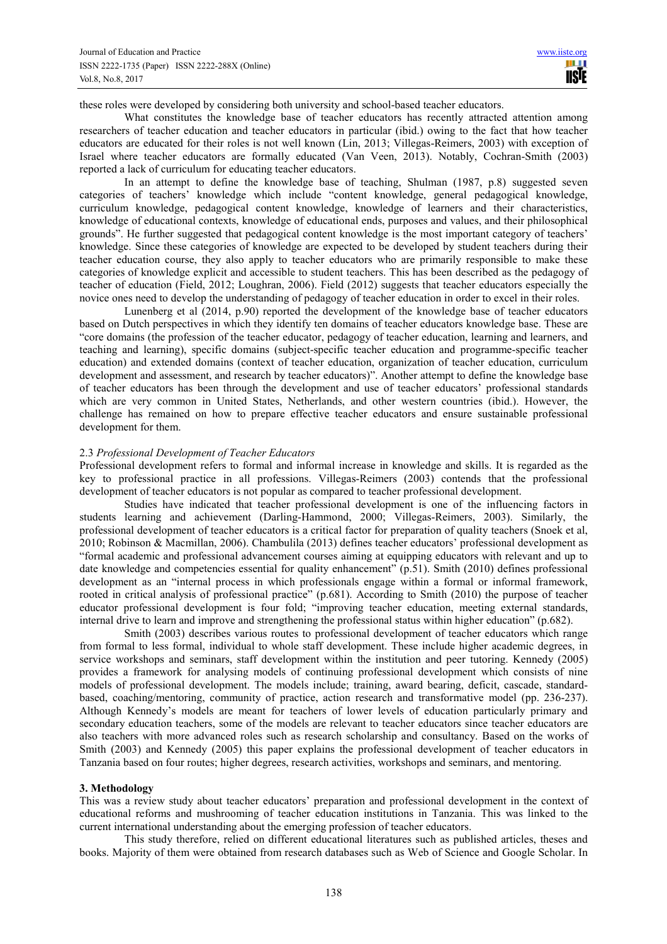these roles were developed by considering both university and school-based teacher educators.

What constitutes the knowledge base of teacher educators has recently attracted attention among researchers of teacher education and teacher educators in particular (ibid.) owing to the fact that how teacher educators are educated for their roles is not well known (Lin, 2013; Villegas-Reimers, 2003) with exception of Israel where teacher educators are formally educated (Van Veen, 2013). Notably, Cochran-Smith (2003) reported a lack of curriculum for educating teacher educators.

In an attempt to define the knowledge base of teaching, Shulman (1987, p.8) suggested seven categories of teachers' knowledge which include "content knowledge, general pedagogical knowledge, curriculum knowledge, pedagogical content knowledge, knowledge of learners and their characteristics, knowledge of educational contexts, knowledge of educational ends, purposes and values, and their philosophical grounds". He further suggested that pedagogical content knowledge is the most important category of teachers' knowledge. Since these categories of knowledge are expected to be developed by student teachers during their teacher education course, they also apply to teacher educators who are primarily responsible to make these categories of knowledge explicit and accessible to student teachers. This has been described as the pedagogy of teacher of education (Field, 2012; Loughran, 2006). Field (2012) suggests that teacher educators especially the novice ones need to develop the understanding of pedagogy of teacher education in order to excel in their roles.

Lunenberg et al (2014, p.90) reported the development of the knowledge base of teacher educators based on Dutch perspectives in which they identify ten domains of teacher educators knowledge base. These are "core domains (the profession of the teacher educator, pedagogy of teacher education, learning and learners, and teaching and learning), specific domains (subject-specific teacher education and programme-specific teacher education) and extended domains (context of teacher education, organization of teacher education, curriculum development and assessment, and research by teacher educators)". Another attempt to define the knowledge base of teacher educators has been through the development and use of teacher educators' professional standards which are very common in United States, Netherlands, and other western countries (ibid.). However, the challenge has remained on how to prepare effective teacher educators and ensure sustainable professional development for them.

## 2.3 *Professional Development of Teacher Educators*

Professional development refers to formal and informal increase in knowledge and skills. It is regarded as the key to professional practice in all professions. Villegas-Reimers (2003) contends that the professional development of teacher educators is not popular as compared to teacher professional development.

Studies have indicated that teacher professional development is one of the influencing factors in students learning and achievement (Darling-Hammond, 2000; Villegas-Reimers, 2003). Similarly, the professional development of teacher educators is a critical factor for preparation of quality teachers (Snoek et al, 2010; Robinson & Macmillan, 2006). Chambulila (2013) defines teacher educators' professional development as "formal academic and professional advancement courses aiming at equipping educators with relevant and up to date knowledge and competencies essential for quality enhancement" (p.51). Smith (2010) defines professional development as an "internal process in which professionals engage within a formal or informal framework, rooted in critical analysis of professional practice" (p.681). According to Smith (2010) the purpose of teacher educator professional development is four fold; "improving teacher education, meeting external standards, internal drive to learn and improve and strengthening the professional status within higher education" (p.682).

Smith (2003) describes various routes to professional development of teacher educators which range from formal to less formal, individual to whole staff development. These include higher academic degrees, in service workshops and seminars, staff development within the institution and peer tutoring. Kennedy (2005) provides a framework for analysing models of continuing professional development which consists of nine models of professional development. The models include; training, award bearing, deficit, cascade, standardbased, coaching/mentoring, community of practice, action research and transformative model (pp. 236-237). Although Kennedy's models are meant for teachers of lower levels of education particularly primary and secondary education teachers, some of the models are relevant to teacher educators since teacher educators are also teachers with more advanced roles such as research scholarship and consultancy. Based on the works of Smith (2003) and Kennedy (2005) this paper explains the professional development of teacher educators in Tanzania based on four routes; higher degrees, research activities, workshops and seminars, and mentoring.

#### **3. Methodology**

This was a review study about teacher educators' preparation and professional development in the context of educational reforms and mushrooming of teacher education institutions in Tanzania. This was linked to the current international understanding about the emerging profession of teacher educators.

This study therefore, relied on different educational literatures such as published articles, theses and books. Majority of them were obtained from research databases such as Web of Science and Google Scholar. In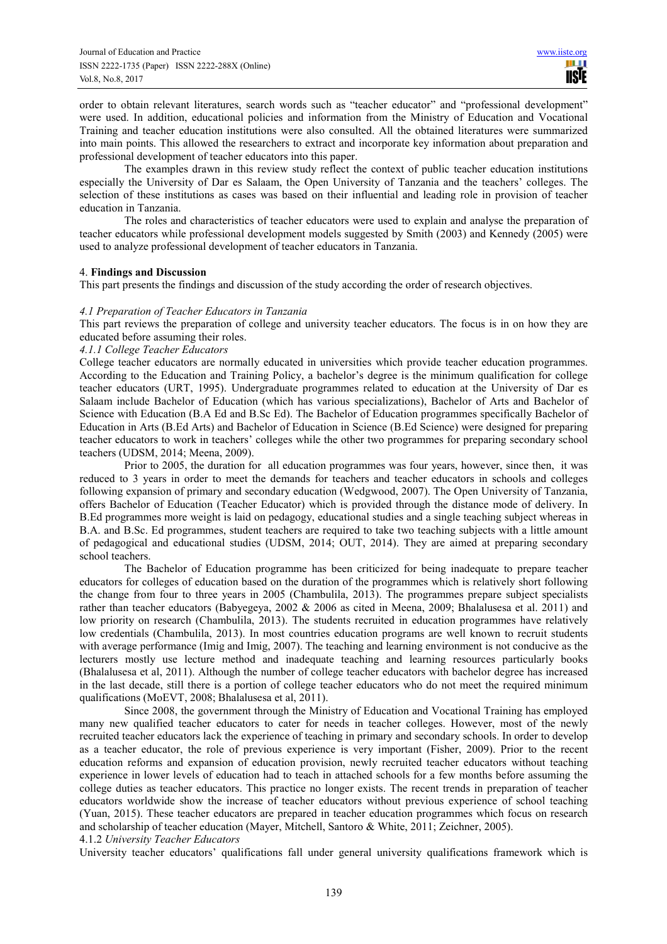order to obtain relevant literatures, search words such as "teacher educator" and "professional development" were used. In addition, educational policies and information from the Ministry of Education and Vocational Training and teacher education institutions were also consulted. All the obtained literatures were summarized into main points. This allowed the researchers to extract and incorporate key information about preparation and professional development of teacher educators into this paper.

The examples drawn in this review study reflect the context of public teacher education institutions especially the University of Dar es Salaam, the Open University of Tanzania and the teachers' colleges. The selection of these institutions as cases was based on their influential and leading role in provision of teacher education in Tanzania.

The roles and characteristics of teacher educators were used to explain and analyse the preparation of teacher educators while professional development models suggested by Smith (2003) and Kennedy (2005) were used to analyze professional development of teacher educators in Tanzania.

## 4. **Findings and Discussion**

This part presents the findings and discussion of the study according the order of research objectives.

## *4.1 Preparation of Teacher Educators in Tanzania*

This part reviews the preparation of college and university teacher educators. The focus is in on how they are educated before assuming their roles.

# *4.1.1 College Teacher Educators*

College teacher educators are normally educated in universities which provide teacher education programmes. According to the Education and Training Policy, a bachelor's degree is the minimum qualification for college teacher educators (URT, 1995). Undergraduate programmes related to education at the University of Dar es Salaam include Bachelor of Education (which has various specializations), Bachelor of Arts and Bachelor of Science with Education (B.A Ed and B.Sc Ed). The Bachelor of Education programmes specifically Bachelor of Education in Arts (B.Ed Arts) and Bachelor of Education in Science (B.Ed Science) were designed for preparing teacher educators to work in teachers' colleges while the other two programmes for preparing secondary school teachers (UDSM, 2014; Meena, 2009).

Prior to 2005, the duration for all education programmes was four years, however, since then, it was reduced to 3 years in order to meet the demands for teachers and teacher educators in schools and colleges following expansion of primary and secondary education (Wedgwood, 2007). The Open University of Tanzania, offers Bachelor of Education (Teacher Educator) which is provided through the distance mode of delivery. In B.Ed programmes more weight is laid on pedagogy, educational studies and a single teaching subject whereas in B.A. and B.Sc. Ed programmes, student teachers are required to take two teaching subjects with a little amount of pedagogical and educational studies (UDSM, 2014; OUT, 2014). They are aimed at preparing secondary school teachers.

The Bachelor of Education programme has been criticized for being inadequate to prepare teacher educators for colleges of education based on the duration of the programmes which is relatively short following the change from four to three years in 2005 (Chambulila, 2013). The programmes prepare subject specialists rather than teacher educators (Babyegeya, 2002 & 2006 as cited in Meena, 2009; Bhalalusesa et al. 2011) and low priority on research (Chambulila, 2013). The students recruited in education programmes have relatively low credentials (Chambulila, 2013). In most countries education programs are well known to recruit students with average performance (Imig and Imig, 2007). The teaching and learning environment is not conducive as the lecturers mostly use lecture method and inadequate teaching and learning resources particularly books (Bhalalusesa et al, 2011). Although the number of college teacher educators with bachelor degree has increased in the last decade, still there is a portion of college teacher educators who do not meet the required minimum qualifications (MoEVT, 2008; Bhalalusesa et al, 2011).

Since 2008, the government through the Ministry of Education and Vocational Training has employed many new qualified teacher educators to cater for needs in teacher colleges. However, most of the newly recruited teacher educators lack the experience of teaching in primary and secondary schools. In order to develop as a teacher educator, the role of previous experience is very important (Fisher, 2009). Prior to the recent education reforms and expansion of education provision, newly recruited teacher educators without teaching experience in lower levels of education had to teach in attached schools for a few months before assuming the college duties as teacher educators. This practice no longer exists. The recent trends in preparation of teacher educators worldwide show the increase of teacher educators without previous experience of school teaching (Yuan, 2015). These teacher educators are prepared in teacher education programmes which focus on research and scholarship of teacher education (Mayer, Mitchell, Santoro & White, 2011; Zeichner, 2005). 4.1.2 *University Teacher Educators* 

University teacher educators' qualifications fall under general university qualifications framework which is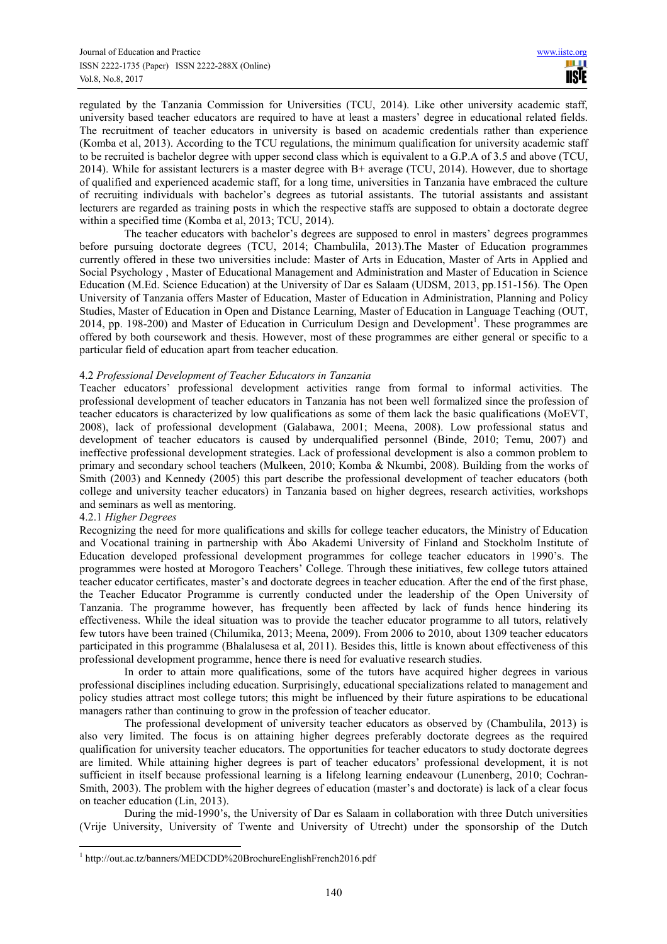regulated by the Tanzania Commission for Universities (TCU, 2014). Like other university academic staff, university based teacher educators are required to have at least a masters' degree in educational related fields. The recruitment of teacher educators in university is based on academic credentials rather than experience (Komba et al, 2013). According to the TCU regulations, the minimum qualification for university academic staff to be recruited is bachelor degree with upper second class which is equivalent to a G.P.A of 3.5 and above (TCU, 2014). While for assistant lecturers is a master degree with B+ average (TCU, 2014). However, due to shortage of qualified and experienced academic staff, for a long time, universities in Tanzania have embraced the culture of recruiting individuals with bachelor's degrees as tutorial assistants. The tutorial assistants and assistant lecturers are regarded as training posts in which the respective staffs are supposed to obtain a doctorate degree within a specified time (Komba et al, 2013; TCU, 2014).

The teacher educators with bachelor's degrees are supposed to enrol in masters' degrees programmes before pursuing doctorate degrees (TCU, 2014; Chambulila, 2013).The Master of Education programmes currently offered in these two universities include: Master of Arts in Education, Master of Arts in Applied and Social Psychology , Master of Educational Management and Administration and Master of Education in Science Education (M.Ed. Science Education) at the University of Dar es Salaam (UDSM, 2013, pp.151-156). The Open University of Tanzania offers Master of Education, Master of Education in Administration, Planning and Policy Studies, Master of Education in Open and Distance Learning, Master of Education in Language Teaching (OUT, 2014, pp. 198-200) and Master of Education in Curriculum Design and Development<sup>1</sup>. These programmes are offered by both coursework and thesis. However, most of these programmes are either general or specific to a particular field of education apart from teacher education.

## 4.2 *Professional Development of Teacher Educators in Tanzania*

Teacher educators' professional development activities range from formal to informal activities. The professional development of teacher educators in Tanzania has not been well formalized since the profession of teacher educators is characterized by low qualifications as some of them lack the basic qualifications (MoEVT, 2008), lack of professional development (Galabawa, 2001; Meena, 2008). Low professional status and development of teacher educators is caused by underqualified personnel (Binde, 2010; Temu, 2007) and ineffective professional development strategies. Lack of professional development is also a common problem to primary and secondary school teachers (Mulkeen, 2010; Komba & Nkumbi, 2008). Building from the works of Smith (2003) and Kennedy (2005) this part describe the professional development of teacher educators (both college and university teacher educators) in Tanzania based on higher degrees, research activities, workshops and seminars as well as mentoring.

# 4.2.1 *Higher Degrees*

Recognizing the need for more qualifications and skills for college teacher educators, the Ministry of Education and Vocational training in partnership with Åbo Akademi University of Finland and Stockholm Institute of Education developed professional development programmes for college teacher educators in 1990's. The programmes were hosted at Morogoro Teachers' College. Through these initiatives, few college tutors attained teacher educator certificates, master's and doctorate degrees in teacher education. After the end of the first phase, the Teacher Educator Programme is currently conducted under the leadership of the Open University of Tanzania. The programme however, has frequently been affected by lack of funds hence hindering its effectiveness. While the ideal situation was to provide the teacher educator programme to all tutors, relatively few tutors have been trained (Chilumika, 2013; Meena, 2009). From 2006 to 2010, about 1309 teacher educators participated in this programme (Bhalalusesa et al, 2011). Besides this, little is known about effectiveness of this professional development programme, hence there is need for evaluative research studies.

In order to attain more qualifications, some of the tutors have acquired higher degrees in various professional disciplines including education. Surprisingly, educational specializations related to management and policy studies attract most college tutors; this might be influenced by their future aspirations to be educational managers rather than continuing to grow in the profession of teacher educator.

The professional development of university teacher educators as observed by (Chambulila, 2013) is also very limited. The focus is on attaining higher degrees preferably doctorate degrees as the required qualification for university teacher educators. The opportunities for teacher educators to study doctorate degrees are limited. While attaining higher degrees is part of teacher educators' professional development, it is not sufficient in itself because professional learning is a lifelong learning endeavour (Lunenberg, 2010; Cochran-Smith, 2003). The problem with the higher degrees of education (master's and doctorate) is lack of a clear focus on teacher education (Lin, 2013).

During the mid-1990's, the University of Dar es Salaam in collaboration with three Dutch universities (Vrije University, University of Twente and University of Utrecht) under the sponsorship of the Dutch

 $\overline{a}$ 1 http://out.ac.tz/banners/MEDCDD%20BrochureEnglishFrench2016.pdf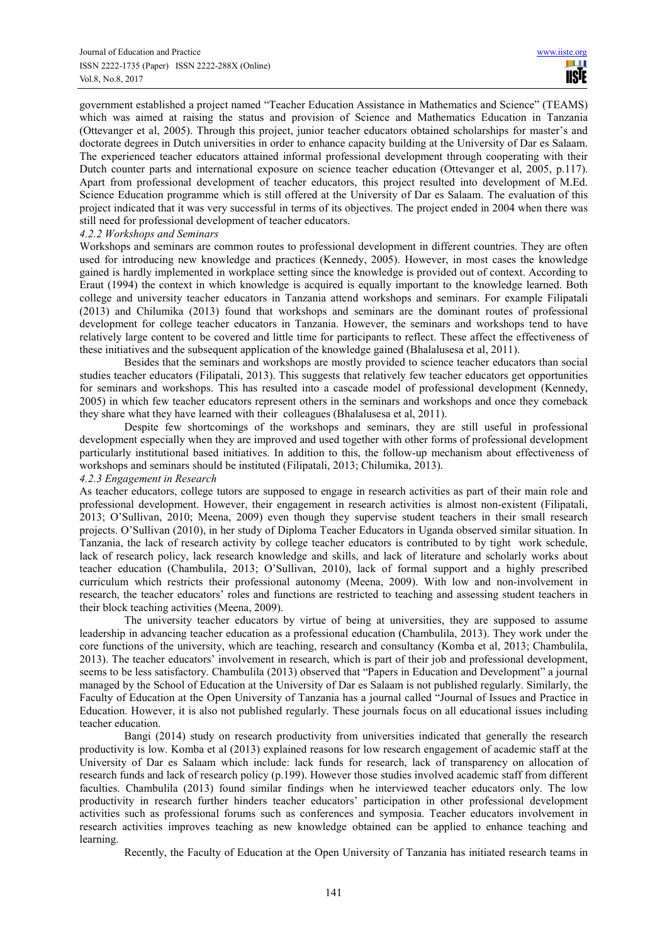government established a project named "Teacher Education Assistance in Mathematics and Science" (TEAMS) which was aimed at raising the status and provision of Science and Mathematics Education in Tanzania (Ottevanger et al, 2005). Through this project, junior teacher educators obtained scholarships for master's and doctorate degrees in Dutch universities in order to enhance capacity building at the University of Dar es Salaam. The experienced teacher educators attained informal professional development through cooperating with their Dutch counter parts and international exposure on science teacher education (Ottevanger et al, 2005, p.117). Apart from professional development of teacher educators, this project resulted into development of M.Ed. Science Education programme which is still offered at the University of Dar es Salaam. The evaluation of this project indicated that it was very successful in terms of its objectives. The project ended in 2004 when there was still need for professional development of teacher educators.

#### *4.2.2 Workshops and Seminars*

Workshops and seminars are common routes to professional development in different countries. They are often used for introducing new knowledge and practices (Kennedy, 2005). However, in most cases the knowledge gained is hardly implemented in workplace setting since the knowledge is provided out of context. According to Eraut (1994) the context in which knowledge is acquired is equally important to the knowledge learned. Both college and university teacher educators in Tanzania attend workshops and seminars. For example Filipatali (2013) and Chilumika (2013) found that workshops and seminars are the dominant routes of professional development for college teacher educators in Tanzania. However, the seminars and workshops tend to have relatively large content to be covered and little time for participants to reflect. These affect the effectiveness of these initiatives and the subsequent application of the knowledge gained (Bhalalusesa et al, 2011).

Besides that the seminars and workshops are mostly provided to science teacher educators than social studies teacher educators (Filipatali, 2013). This suggests that relatively few teacher educators get opportunities for seminars and workshops. This has resulted into a cascade model of professional development (Kennedy, 2005) in which few teacher educators represent others in the seminars and workshops and once they comeback they share what they have learned with their colleagues (Bhalalusesa et al, 2011).

Despite few shortcomings of the workshops and seminars, they are still useful in professional development especially when they are improved and used together with other forms of professional development particularly institutional based initiatives. In addition to this, the follow-up mechanism about effectiveness of workshops and seminars should be instituted (Filipatali, 2013; Chilumika, 2013).

#### *4.2.3 Engagement in Research*

As teacher educators, college tutors are supposed to engage in research activities as part of their main role and professional development. However, their engagement in research activities is almost non-existent (Filipatali, 2013; O'Sullivan, 2010; Meena, 2009) even though they supervise student teachers in their small research projects. O'Sullivan (2010), in her study of Diploma Teacher Educators in Uganda observed similar situation. In Tanzania, the lack of research activity by college teacher educators is contributed to by tight work schedule, lack of research policy, lack research knowledge and skills, and lack of literature and scholarly works about teacher education (Chambulila, 2013; O'Sullivan, 2010), lack of formal support and a highly prescribed curriculum which restricts their professional autonomy (Meena, 2009). With low and non-involvement in research, the teacher educators' roles and functions are restricted to teaching and assessing student teachers in their block teaching activities (Meena, 2009).

The university teacher educators by virtue of being at universities, they are supposed to assume leadership in advancing teacher education as a professional education (Chambulila, 2013). They work under the core functions of the university, which are teaching, research and consultancy (Komba et al, 2013; Chambulila, 2013). The teacher educators' involvement in research, which is part of their job and professional development, seems to be less satisfactory. Chambulila (2013) observed that "Papers in Education and Development" a journal managed by the School of Education at the University of Dar es Salaam is not published regularly. Similarly, the Faculty of Education at the Open University of Tanzania has a journal called "Journal of Issues and Practice in Education. However, it is also not published regularly. These journals focus on all educational issues including teacher education.

Bangi (2014) study on research productivity from universities indicated that generally the research productivity is low. Komba et al (2013) explained reasons for low research engagement of academic staff at the University of Dar es Salaam which include: lack funds for research, lack of transparency on allocation of research funds and lack of research policy (p.199). However those studies involved academic staff from different faculties. Chambulila (2013) found similar findings when he interviewed teacher educators only. The low productivity in research further hinders teacher educators' participation in other professional development activities such as professional forums such as conferences and symposia. Teacher educators involvement in research activities improves teaching as new knowledge obtained can be applied to enhance teaching and learning.

Recently, the Faculty of Education at the Open University of Tanzania has initiated research teams in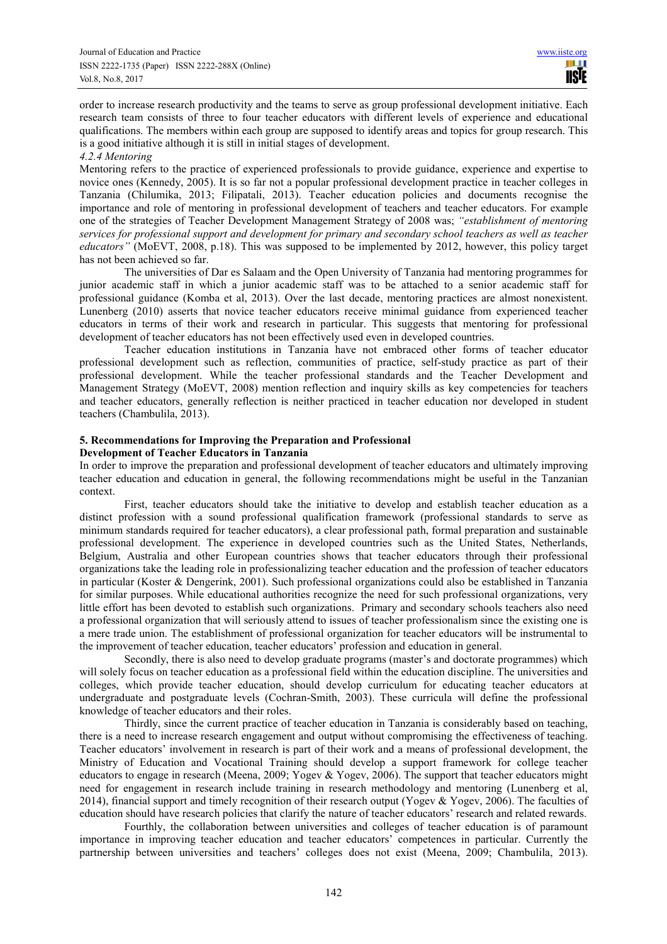order to increase research productivity and the teams to serve as group professional development initiative. Each research team consists of three to four teacher educators with different levels of experience and educational qualifications. The members within each group are supposed to identify areas and topics for group research. This is a good initiative although it is still in initial stages of development.

#### *4.2.4 Mentoring*

Mentoring refers to the practice of experienced professionals to provide guidance, experience and expertise to novice ones (Kennedy, 2005). It is so far not a popular professional development practice in teacher colleges in Tanzania (Chilumika, 2013; Filipatali, 2013). Teacher education policies and documents recognise the importance and role of mentoring in professional development of teachers and teacher educators. For example one of the strategies of Teacher Development Management Strategy of 2008 was; *"establishment of mentoring services for professional support and development for primary and secondary school teachers as well as teacher educators"* (MoEVT, 2008, p.18). This was supposed to be implemented by 2012, however, this policy target has not been achieved so far.

The universities of Dar es Salaam and the Open University of Tanzania had mentoring programmes for junior academic staff in which a junior academic staff was to be attached to a senior academic staff for professional guidance (Komba et al, 2013). Over the last decade, mentoring practices are almost nonexistent. Lunenberg (2010) asserts that novice teacher educators receive minimal guidance from experienced teacher educators in terms of their work and research in particular. This suggests that mentoring for professional development of teacher educators has not been effectively used even in developed countries.

Teacher education institutions in Tanzania have not embraced other forms of teacher educator professional development such as reflection, communities of practice, self-study practice as part of their professional development. While the teacher professional standards and the Teacher Development and Management Strategy (MoEVT, 2008) mention reflection and inquiry skills as key competencies for teachers and teacher educators, generally reflection is neither practiced in teacher education nor developed in student teachers (Chambulila, 2013).

#### **5. Recommendations for Improving the Preparation and Professional Development of Teacher Educators in Tanzania**

In order to improve the preparation and professional development of teacher educators and ultimately improving teacher education and education in general, the following recommendations might be useful in the Tanzanian context.

First, teacher educators should take the initiative to develop and establish teacher education as a distinct profession with a sound professional qualification framework (professional standards to serve as minimum standards required for teacher educators), a clear professional path, formal preparation and sustainable professional development. The experience in developed countries such as the United States, Netherlands, Belgium, Australia and other European countries shows that teacher educators through their professional organizations take the leading role in professionalizing teacher education and the profession of teacher educators in particular (Koster & Dengerink, 2001). Such professional organizations could also be established in Tanzania for similar purposes. While educational authorities recognize the need for such professional organizations, very little effort has been devoted to establish such organizations. Primary and secondary schools teachers also need a professional organization that will seriously attend to issues of teacher professionalism since the existing one is a mere trade union. The establishment of professional organization for teacher educators will be instrumental to the improvement of teacher education, teacher educators' profession and education in general.

Secondly, there is also need to develop graduate programs (master's and doctorate programmes) which will solely focus on teacher education as a professional field within the education discipline. The universities and colleges, which provide teacher education, should develop curriculum for educating teacher educators at undergraduate and postgraduate levels (Cochran-Smith, 2003). These curricula will define the professional knowledge of teacher educators and their roles.

Thirdly, since the current practice of teacher education in Tanzania is considerably based on teaching, there is a need to increase research engagement and output without compromising the effectiveness of teaching. Teacher educators' involvement in research is part of their work and a means of professional development, the Ministry of Education and Vocational Training should develop a support framework for college teacher educators to engage in research (Meena, 2009; Yogev & Yogev, 2006). The support that teacher educators might need for engagement in research include training in research methodology and mentoring (Lunenberg et al, 2014), financial support and timely recognition of their research output (Yogev & Yogev, 2006). The faculties of education should have research policies that clarify the nature of teacher educators' research and related rewards.

Fourthly, the collaboration between universities and colleges of teacher education is of paramount importance in improving teacher education and teacher educators' competences in particular. Currently the partnership between universities and teachers' colleges does not exist (Meena, 2009; Chambulila, 2013).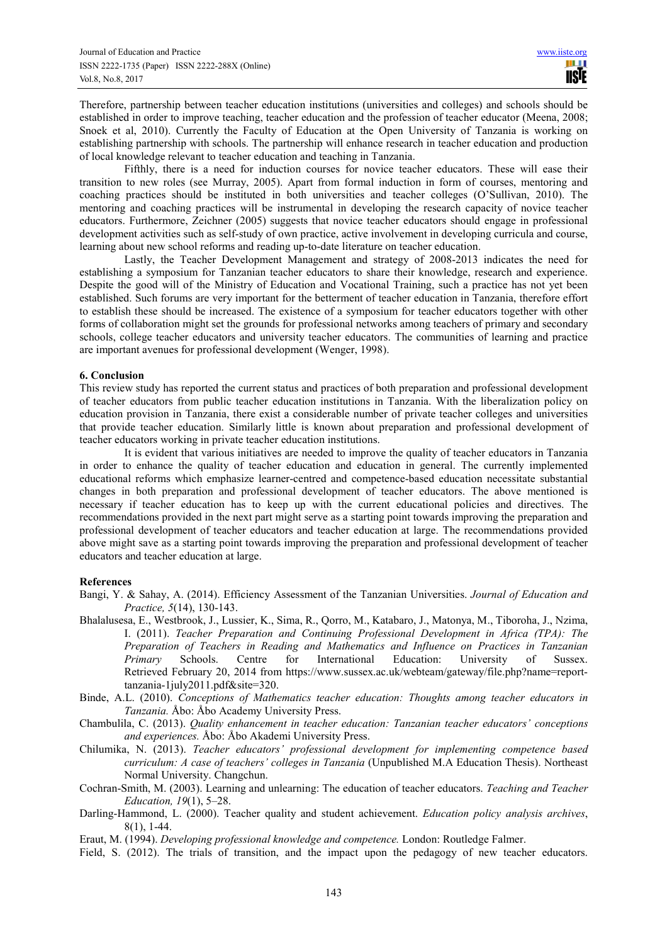Therefore, partnership between teacher education institutions (universities and colleges) and schools should be established in order to improve teaching, teacher education and the profession of teacher educator (Meena, 2008; Snoek et al, 2010). Currently the Faculty of Education at the Open University of Tanzania is working on establishing partnership with schools. The partnership will enhance research in teacher education and production of local knowledge relevant to teacher education and teaching in Tanzania.

Fifthly, there is a need for induction courses for novice teacher educators. These will ease their transition to new roles (see Murray, 2005). Apart from formal induction in form of courses, mentoring and coaching practices should be instituted in both universities and teacher colleges (O'Sullivan, 2010). The mentoring and coaching practices will be instrumental in developing the research capacity of novice teacher educators. Furthermore, Zeichner (2005) suggests that novice teacher educators should engage in professional development activities such as self-study of own practice, active involvement in developing curricula and course, learning about new school reforms and reading up-to-date literature on teacher education.

Lastly, the Teacher Development Management and strategy of 2008-2013 indicates the need for establishing a symposium for Tanzanian teacher educators to share their knowledge, research and experience. Despite the good will of the Ministry of Education and Vocational Training, such a practice has not yet been established. Such forums are very important for the betterment of teacher education in Tanzania, therefore effort to establish these should be increased. The existence of a symposium for teacher educators together with other forms of collaboration might set the grounds for professional networks among teachers of primary and secondary schools, college teacher educators and university teacher educators. The communities of learning and practice are important avenues for professional development (Wenger, 1998).

## **6. Conclusion**

This review study has reported the current status and practices of both preparation and professional development of teacher educators from public teacher education institutions in Tanzania. With the liberalization policy on education provision in Tanzania, there exist a considerable number of private teacher colleges and universities that provide teacher education. Similarly little is known about preparation and professional development of teacher educators working in private teacher education institutions.

It is evident that various initiatives are needed to improve the quality of teacher educators in Tanzania in order to enhance the quality of teacher education and education in general. The currently implemented educational reforms which emphasize learner-centred and competence-based education necessitate substantial changes in both preparation and professional development of teacher educators. The above mentioned is necessary if teacher education has to keep up with the current educational policies and directives. The recommendations provided in the next part might serve as a starting point towards improving the preparation and professional development of teacher educators and teacher education at large. The recommendations provided above might save as a starting point towards improving the preparation and professional development of teacher educators and teacher education at large.

# **References**

Bangi, Y. & Sahay, A. (2014). Efficiency Assessment of the Tanzanian Universities. *Journal of Education and Practice, 5*(14), 130-143.

- Bhalalusesa, E., Westbrook, J., Lussier, K., Sima, R., Qorro, M., Katabaro, J., Matonya, M., Tiboroha, J., Nzima, I. (2011). *Teacher Preparation and Continuing Professional Development in Africa (TPA): The Preparation of Teachers in Reading and Mathematics and Influence on Practices in Tanzanian Primary* Schools. Centre for International Education: University of Sussex. Retrieved February 20, 2014 from https://www.sussex.ac.uk/webteam/gateway/file.php?name=reporttanzania-1july2011.pdf&site=320.
- Binde, A.L. (2010). *Conceptions of Mathematics teacher education: Thoughts among teacher educators in Tanzania.* Åbo: Åbo Academy University Press.
- Chambulila, C. (2013). *Quality enhancement in teacher education: Tanzanian teacher educators' conceptions and experiences.* Åbo: Åbo Akademi University Press.
- Chilumika, N. (2013). *Teacher educators' professional development for implementing competence based curriculum: A case of teachers' colleges in Tanzania* (Unpublished M.A Education Thesis). Northeast Normal University. Changchun.
- Cochran-Smith, M. (2003). Learning and unlearning: The education of teacher educators. *Teaching and Teacher Education, 19*(1), 5–28.
- Darling-Hammond, L. (2000). Teacher quality and student achievement. *Education policy analysis archives*, 8(1), 1-44.
- Eraut, M. (1994). *Developing professional knowledge and competence.* London: Routledge Falmer.
- Field, S. (2012). The trials of transition, and the impact upon the pedagogy of new teacher educators.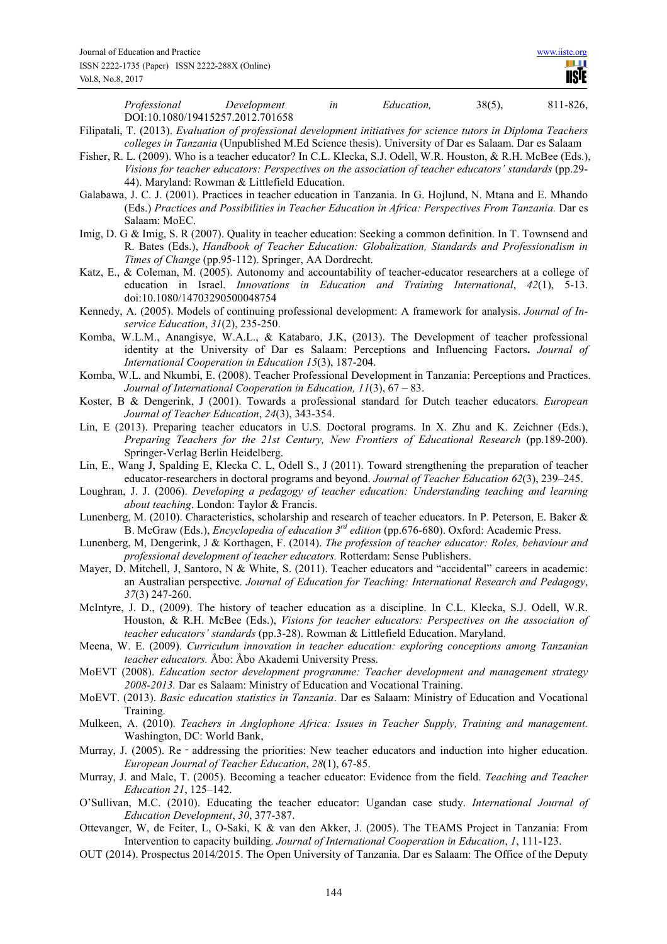| Professional Development                                                                                                                                                                                                  |                                                                                                                                                                                      | in | Education, | $38(5)$ , | 811-826, |
|---------------------------------------------------------------------------------------------------------------------------------------------------------------------------------------------------------------------------|--------------------------------------------------------------------------------------------------------------------------------------------------------------------------------------|----|------------|-----------|----------|
| DOI:10.1080/19415257.2012.701658                                                                                                                                                                                          |                                                                                                                                                                                      |    |            |           |          |
| Filipatali, T. (2013). Evaluation of professional development initiatives for science tutors in Diploma Teachers                                                                                                          |                                                                                                                                                                                      |    |            |           |          |
| colleges in Tanzania (Unpublished M.Ed Science thesis). University of Dar es Salaam. Dar es Salaam                                                                                                                        |                                                                                                                                                                                      |    |            |           |          |
| Fisher, R. L. (2009). Who is a teacher educator? In C.L. Klecka, S.J. Odell, W.R. Houston, & R.H. McBee (Eds.),<br>Visions for teacher educators: Perspectives on the association of teacher educators' standards (pp.29- |                                                                                                                                                                                      |    |            |           |          |
|                                                                                                                                                                                                                           | 44). Maryland: Rowman & Littlefield Education.                                                                                                                                       |    |            |           |          |
|                                                                                                                                                                                                                           |                                                                                                                                                                                      |    |            |           |          |
| Galabawa, J. C. J. (2001). Practices in teacher education in Tanzania. In G. Hojlund, N. Mtana and E. Mhando<br>(Eds.) Practices and Possibilities in Teacher Education in Africa: Perspectives From Tanzania. Dar es     |                                                                                                                                                                                      |    |            |           |          |
| Salaam: MoEC.                                                                                                                                                                                                             |                                                                                                                                                                                      |    |            |           |          |
| Imig, D. G & Imig, S. R (2007). Quality in teacher education: Seeking a common definition. In T. Townsend and                                                                                                             |                                                                                                                                                                                      |    |            |           |          |
|                                                                                                                                                                                                                           | R. Bates (Eds.), Handbook of Teacher Education: Globalization, Standards and Professionalism in                                                                                      |    |            |           |          |
|                                                                                                                                                                                                                           | Times of Change (pp.95-112). Springer, AA Dordrecht.                                                                                                                                 |    |            |           |          |
| Katz, E., & Coleman, M. (2005). Autonomy and accountability of teacher-educator researchers at a college of                                                                                                               |                                                                                                                                                                                      |    |            |           |          |
|                                                                                                                                                                                                                           | education in Israel. Innovations in Education and Training International, 42(1), 5-13.                                                                                               |    |            |           |          |
| doi:10.1080/14703290500048754                                                                                                                                                                                             |                                                                                                                                                                                      |    |            |           |          |
| Kennedy, A. (2005). Models of continuing professional development: A framework for analysis. Journal of In-                                                                                                               |                                                                                                                                                                                      |    |            |           |          |
| service Education, 31(2), 235-250.                                                                                                                                                                                        |                                                                                                                                                                                      |    |            |           |          |
| Komba, W.L.M., Anangisye, W.A.L., & Katabaro, J.K., (2013). The Development of teacher professional                                                                                                                       |                                                                                                                                                                                      |    |            |           |          |
|                                                                                                                                                                                                                           | identity at the University of Dar es Salaam: Perceptions and Influencing Factors. Journal of                                                                                         |    |            |           |          |
|                                                                                                                                                                                                                           | International Cooperation in Education 15(3), 187-204.                                                                                                                               |    |            |           |          |
| Komba, W.L. and Nkumbi, E. (2008). Teacher Professional Development in Tanzania: Perceptions and Practices.                                                                                                               |                                                                                                                                                                                      |    |            |           |          |
|                                                                                                                                                                                                                           | Journal of International Cooperation in Education, $11(3)$ , $67 - 83$ .                                                                                                             |    |            |           |          |
| Koster, B & Dengerink, J (2001). Towards a professional standard for Dutch teacher educators. European                                                                                                                    |                                                                                                                                                                                      |    |            |           |          |
|                                                                                                                                                                                                                           | Journal of Teacher Education, 24(3), 343-354.                                                                                                                                        |    |            |           |          |
| Lin, E (2013). Preparing teacher educators in U.S. Doctoral programs. In X. Zhu and K. Zeichner (Eds.),                                                                                                                   |                                                                                                                                                                                      |    |            |           |          |
|                                                                                                                                                                                                                           | Preparing Teachers for the 21st Century, New Frontiers of Educational Research (pp.189-200).                                                                                         |    |            |           |          |
| Springer-Verlag Berlin Heidelberg.                                                                                                                                                                                        |                                                                                                                                                                                      |    |            |           |          |
| Lin, E., Wang J, Spalding E, Klecka C. L, Odell S., J (2011). Toward strengthening the preparation of teacher                                                                                                             |                                                                                                                                                                                      |    |            |           |          |
|                                                                                                                                                                                                                           | educator-researchers in doctoral programs and beyond. Journal of Teacher Education 62(3), 239–245.                                                                                   |    |            |           |          |
| Loughran, J. J. (2006). Developing a pedagogy of teacher education: Understanding teaching and learning                                                                                                                   |                                                                                                                                                                                      |    |            |           |          |
|                                                                                                                                                                                                                           | about teaching. London: Taylor & Francis.                                                                                                                                            |    |            |           |          |
| Lunenberg, M. (2010). Characteristics, scholarship and research of teacher educators. In P. Peterson, E. Baker &                                                                                                          |                                                                                                                                                                                      |    |            |           |          |
|                                                                                                                                                                                                                           | B. McGraw (Eds.), <i>Encyclopedia of education 3<sup>rd</sup> edition</i> (pp.676-680). Oxford: Academic Press.                                                                      |    |            |           |          |
| Lunenberg, M, Dengerink, J & Korthagen, F. (2014). The profession of teacher educator: Roles, behaviour and                                                                                                               |                                                                                                                                                                                      |    |            |           |          |
|                                                                                                                                                                                                                           | professional development of teacher educators. Rotterdam: Sense Publishers.                                                                                                          |    |            |           |          |
| Mayer, D. Mitchell, J, Santoro, N & White, S. (2011). Teacher educators and "accidental" careers in academic:                                                                                                             |                                                                                                                                                                                      |    |            |           |          |
|                                                                                                                                                                                                                           | an Australian perspective. Journal of Education for Teaching: International Research and Pedagogy,                                                                                   |    |            |           |          |
| 37(3) 247-260.                                                                                                                                                                                                            |                                                                                                                                                                                      |    |            |           |          |
| McIntyre, J. D., (2009). The history of teacher education as a discipline. In C.L. Klecka, S.J. Odell, W.R.                                                                                                               |                                                                                                                                                                                      |    |            |           |          |
|                                                                                                                                                                                                                           | Houston, & R.H. McBee (Eds.), Visions for teacher educators: Perspectives on the association of<br>teacher educators' standards (pp.3-28). Rowman & Littlefield Education. Maryland. |    |            |           |          |
| Meena, W. E. (2009). Curriculum innovation in teacher education: exploring conceptions among Tanzanian                                                                                                                    |                                                                                                                                                                                      |    |            |           |          |
|                                                                                                                                                                                                                           | teacher educators. Åbo: Åbo Akademi University Press.                                                                                                                                |    |            |           |          |
| MoEVT (2008). Education sector development programme: Teacher development and management strategy                                                                                                                         |                                                                                                                                                                                      |    |            |           |          |
|                                                                                                                                                                                                                           | 2008-2013. Dar es Salaam: Ministry of Education and Vocational Training.                                                                                                             |    |            |           |          |
| MoEVT. (2013). Basic education statistics in Tanzania. Dar es Salaam: Ministry of Education and Vocational                                                                                                                |                                                                                                                                                                                      |    |            |           |          |
| Training.                                                                                                                                                                                                                 |                                                                                                                                                                                      |    |            |           |          |
| Mulkeen, A. (2010). Teachers in Anglophone Africa: Issues in Teacher Supply, Training and management.                                                                                                                     |                                                                                                                                                                                      |    |            |           |          |
| Washington, DC: World Bank,                                                                                                                                                                                               |                                                                                                                                                                                      |    |            |           |          |
| Murray, J. (2005). Re - addressing the priorities: New teacher educators and induction into higher education.                                                                                                             |                                                                                                                                                                                      |    |            |           |          |
|                                                                                                                                                                                                                           | European Journal of Teacher Education, 28(1), 67-85.                                                                                                                                 |    |            |           |          |
| Murray, J. and Male, T. (2005). Becoming a teacher educator: Evidence from the field. Teaching and Teacher                                                                                                                |                                                                                                                                                                                      |    |            |           |          |
| Education 21, 125-142.                                                                                                                                                                                                    |                                                                                                                                                                                      |    |            |           |          |
| O'Sullivan, M.C. (2010). Educating the teacher educator: Ugandan case study. International Journal of                                                                                                                     |                                                                                                                                                                                      |    |            |           |          |
| Education Development, 30, 377-387.                                                                                                                                                                                       |                                                                                                                                                                                      |    |            |           |          |
| Ottevanger, W, de Feiter, L, O-Saki, K & van den Akker, J. (2005). The TEAMS Project in Tanzania: From                                                                                                                    |                                                                                                                                                                                      |    |            |           |          |
|                                                                                                                                                                                                                           |                                                                                                                                                                                      |    |            |           |          |

- Intervention to capacity building. *Journal of International Cooperation in Education*, *1*, 111-123. OUT (2014). Prospectus 2014/2015. The Open University of Tanzania. Dar es Salaam: The Office of the Deputy
	- 144